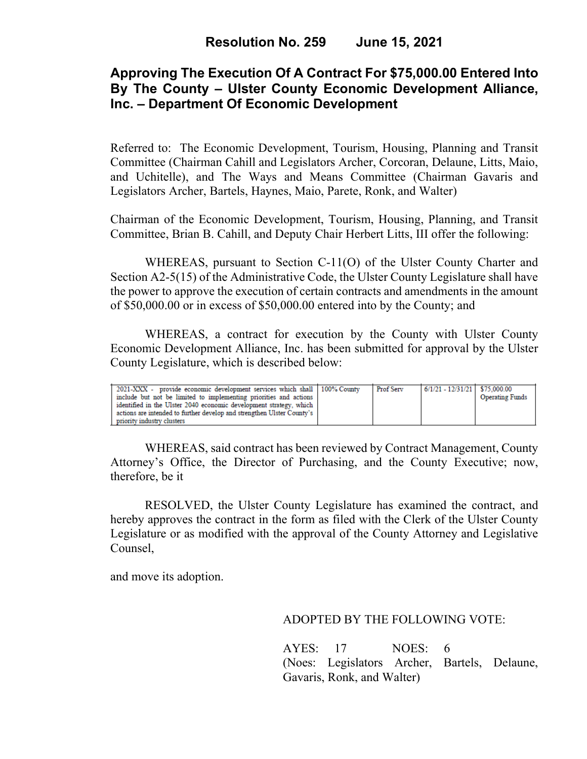## **Approving The Execution Of A Contract For \$75,000.00 Entered Into By The County – Ulster County Economic Development Alliance, Inc. – Department Of Economic Development**

Referred to: The Economic Development, Tourism, Housing, Planning and Transit Committee (Chairman Cahill and Legislators Archer, Corcoran, Delaune, Litts, Maio, and Uchitelle), and The Ways and Means Committee (Chairman Gavaris and Legislators Archer, Bartels, Haynes, Maio, Parete, Ronk, and Walter)

Chairman of the Economic Development, Tourism, Housing, Planning, and Transit Committee, Brian B. Cahill, and Deputy Chair Herbert Litts, III offer the following:

WHEREAS, pursuant to Section C-11(O) of the Ulster County Charter and Section A2-5(15) of the Administrative Code, the Ulster County Legislature shall have the power to approve the execution of certain contracts and amendments in the amount of \$50,000.00 or in excess of \$50,000.00 entered into by the County; and

WHEREAS, a contract for execution by the County with Ulster County Economic Development Alliance, Inc. has been submitted for approval by the Ulster County Legislature, which is described below:

| 2021-XXX - provide economic development services which shall 100% County | <b>Prof Serv</b> | $6/1/21 - 12/31/21$ \$75,000.00 |                        |
|--------------------------------------------------------------------------|------------------|---------------------------------|------------------------|
| include but not be limited to implementing priorities and actions        |                  |                                 | <b>Operating Funds</b> |
| identified in the Ulster 2040 economic development strategy, which       |                  |                                 |                        |
| actions are intended to further develop and strengthen Ulster County's   |                  |                                 |                        |
| priority industry clusters                                               |                  |                                 |                        |

WHEREAS, said contract has been reviewed by Contract Management, County Attorney's Office, the Director of Purchasing, and the County Executive; now, therefore, be it

RESOLVED, the Ulster County Legislature has examined the contract, and hereby approves the contract in the form as filed with the Clerk of the Ulster County Legislature or as modified with the approval of the County Attorney and Legislative Counsel,

and move its adoption.

ADOPTED BY THE FOLLOWING VOTE:

AYES: 17 NOES: 6 (Noes: Legislators Archer, Bartels, Delaune, Gavaris, Ronk, and Walter)